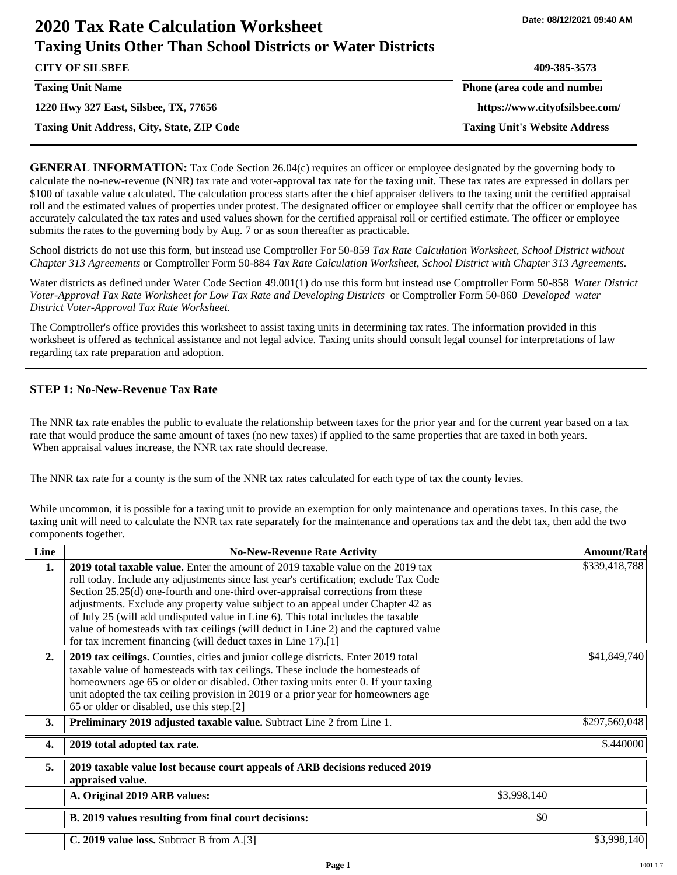# **2020 Tax Rate Calculation Worksheet Taxing Units Other Than School Districts or Water Districts**

| <b>CITY OF SILSBEE</b>                            | 409-385-3573                         |
|---------------------------------------------------|--------------------------------------|
| <b>Taxing Unit Name</b>                           | Phone (area code and number          |
| 1220 Hwy 327 East, Silsbee, TX, 77656             | https://www.cityofsilsbee.com/       |
| <b>Taxing Unit Address, City, State, ZIP Code</b> | <b>Taxing Unit's Website Address</b> |

**GENERAL INFORMATION:** Tax Code Section 26.04(c) requires an officer or employee designated by the governing body to calculate the no-new-revenue (NNR) tax rate and voter-approval tax rate for the taxing unit. These tax rates are expressed in dollars per \$100 of taxable value calculated. The calculation process starts after the chief appraiser delivers to the taxing unit the certified appraisal roll and the estimated values of properties under protest. The designated officer or employee shall certify that the officer or employee has accurately calculated the tax rates and used values shown for the certified appraisal roll or certified estimate. The officer or employee submits the rates to the governing body by Aug. 7 or as soon thereafter as practicable.

School districts do not use this form, but instead use Comptroller For 50-859 *Tax Rate Calculation Worksheet, School District without Chapter 313 Agreements* or Comptroller Form 50-884 *Tax Rate Calculation Worksheet, School District with Chapter 313 Agreements.*

Water districts as defined under Water Code Section 49.001(1) do use this form but instead use Comptroller Form 50-858 *Water District Voter-Approval Tax Rate Worksheet for Low Tax Rate and Developing Districts* or Comptroller Form 50-860 *Developed water District Voter-Approval Tax Rate Worksheet.*

The Comptroller's office provides this worksheet to assist taxing units in determining tax rates. The information provided in this worksheet is offered as technical assistance and not legal advice. Taxing units should consult legal counsel for interpretations of law regarding tax rate preparation and adoption.

## **STEP 1: No-New-Revenue Tax Rate**

The NNR tax rate enables the public to evaluate the relationship between taxes for the prior year and for the current year based on a tax rate that would produce the same amount of taxes (no new taxes) if applied to the same properties that are taxed in both years. When appraisal values increase, the NNR tax rate should decrease.

The NNR tax rate for a county is the sum of the NNR tax rates calculated for each type of tax the county levies.

While uncommon, it is possible for a taxing unit to provide an exemption for only maintenance and operations taxes. In this case, the taxing unit will need to calculate the NNR tax rate separately for the maintenance and operations tax and the debt tax, then add the two components together.

| Line             | <b>No-New-Revenue Rate Activity</b>                                                                                                                                                                                                                                                                                                                                                                                                                                                                                                                                                             |             | <b>Amount/Rate</b> |
|------------------|-------------------------------------------------------------------------------------------------------------------------------------------------------------------------------------------------------------------------------------------------------------------------------------------------------------------------------------------------------------------------------------------------------------------------------------------------------------------------------------------------------------------------------------------------------------------------------------------------|-------------|--------------------|
| 1.               | 2019 total taxable value. Enter the amount of 2019 taxable value on the 2019 tax<br>roll today. Include any adjustments since last year's certification; exclude Tax Code<br>Section 25.25(d) one-fourth and one-third over-appraisal corrections from these<br>adjustments. Exclude any property value subject to an appeal under Chapter 42 as<br>of July 25 (will add undisputed value in Line 6). This total includes the taxable<br>value of homesteads with tax ceilings (will deduct in Line 2) and the captured value<br>for tax increment financing (will deduct taxes in Line 17).[1] |             | \$339,418,788      |
| 2.               | 2019 tax ceilings. Counties, cities and junior college districts. Enter 2019 total<br>taxable value of homesteads with tax ceilings. These include the homesteads of<br>homeowners age 65 or older or disabled. Other taxing units enter 0. If your taxing<br>unit adopted the tax ceiling provision in 2019 or a prior year for homeowners age<br>65 or older or disabled, use this step.[2]                                                                                                                                                                                                   |             | \$41,849,740       |
| 3.               | Preliminary 2019 adjusted taxable value. Subtract Line 2 from Line 1.                                                                                                                                                                                                                                                                                                                                                                                                                                                                                                                           |             | \$297,569,048      |
| $\overline{4}$ . | 2019 total adopted tax rate.                                                                                                                                                                                                                                                                                                                                                                                                                                                                                                                                                                    |             | \$.440000          |
| 5.               | 2019 taxable value lost because court appeals of ARB decisions reduced 2019<br>appraised value.                                                                                                                                                                                                                                                                                                                                                                                                                                                                                                 |             |                    |
|                  | A. Original 2019 ARB values:                                                                                                                                                                                                                                                                                                                                                                                                                                                                                                                                                                    | \$3,998,140 |                    |
|                  | B. 2019 values resulting from final court decisions:                                                                                                                                                                                                                                                                                                                                                                                                                                                                                                                                            | \$0         |                    |
|                  | C. 2019 value loss. Subtract B from A.[3]                                                                                                                                                                                                                                                                                                                                                                                                                                                                                                                                                       |             | \$3,998,140        |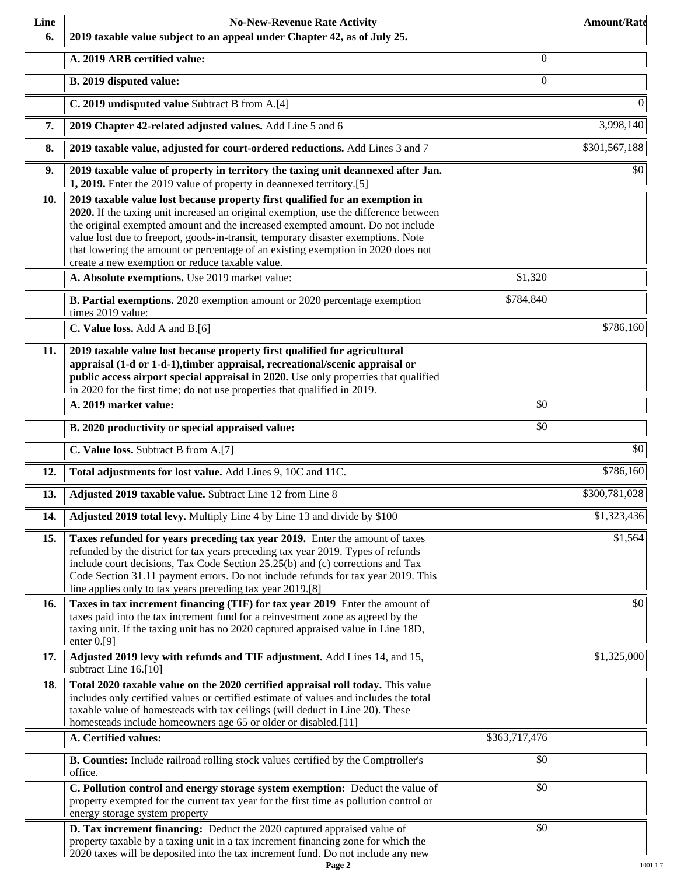| Line | <b>No-New-Revenue Rate Activity</b>                                                                                                                                                                                                                                                                                                                                                                                                                                                |               | <b>Amount/Rate</b> |
|------|------------------------------------------------------------------------------------------------------------------------------------------------------------------------------------------------------------------------------------------------------------------------------------------------------------------------------------------------------------------------------------------------------------------------------------------------------------------------------------|---------------|--------------------|
| 6.   | 2019 taxable value subject to an appeal under Chapter 42, as of July 25.                                                                                                                                                                                                                                                                                                                                                                                                           |               |                    |
|      | A. 2019 ARB certified value:                                                                                                                                                                                                                                                                                                                                                                                                                                                       | $\theta$      |                    |
|      | B. 2019 disputed value:                                                                                                                                                                                                                                                                                                                                                                                                                                                            | $\Omega$      |                    |
|      | C. 2019 undisputed value Subtract B from A.[4]                                                                                                                                                                                                                                                                                                                                                                                                                                     |               | $\overline{0}$     |
| 7.   | 2019 Chapter 42-related adjusted values. Add Line 5 and 6                                                                                                                                                                                                                                                                                                                                                                                                                          |               | 3,998,140          |
| 8.   | 2019 taxable value, adjusted for court-ordered reductions. Add Lines 3 and 7                                                                                                                                                                                                                                                                                                                                                                                                       |               | \$301,567,188      |
| 9.   | 2019 taxable value of property in territory the taxing unit deannexed after Jan.<br>1, 2019. Enter the 2019 value of property in deannexed territory.[5]                                                                                                                                                                                                                                                                                                                           |               | \$0                |
| 10.  | 2019 taxable value lost because property first qualified for an exemption in<br>2020. If the taxing unit increased an original exemption, use the difference between<br>the original exempted amount and the increased exempted amount. Do not include<br>value lost due to freeport, goods-in-transit, temporary disaster exemptions. Note<br>that lowering the amount or percentage of an existing exemption in 2020 does not<br>create a new exemption or reduce taxable value. |               |                    |
|      | A. Absolute exemptions. Use 2019 market value:                                                                                                                                                                                                                                                                                                                                                                                                                                     | \$1,320       |                    |
|      | B. Partial exemptions. 2020 exemption amount or 2020 percentage exemption<br>times 2019 value:                                                                                                                                                                                                                                                                                                                                                                                     | \$784,840     |                    |
|      | C. Value loss. Add A and B.[6]                                                                                                                                                                                                                                                                                                                                                                                                                                                     |               | \$786,160          |
| 11.  | 2019 taxable value lost because property first qualified for agricultural<br>appraisal (1-d or 1-d-1), timber appraisal, recreational/scenic appraisal or<br>public access airport special appraisal in 2020. Use only properties that qualified<br>in 2020 for the first time; do not use properties that qualified in 2019.                                                                                                                                                      |               |                    |
|      | A. 2019 market value:                                                                                                                                                                                                                                                                                                                                                                                                                                                              | \$0           |                    |
|      | B. 2020 productivity or special appraised value:                                                                                                                                                                                                                                                                                                                                                                                                                                   | \$0           |                    |
|      | C. Value loss. Subtract B from A.[7]                                                                                                                                                                                                                                                                                                                                                                                                                                               |               | $\overline{50}$    |
| 12.  | Total adjustments for lost value. Add Lines 9, 10C and 11C.                                                                                                                                                                                                                                                                                                                                                                                                                        |               | \$786,160          |
| 13.  | Adjusted 2019 taxable value. Subtract Line 12 from Line 8                                                                                                                                                                                                                                                                                                                                                                                                                          |               | \$300,781,028      |
| 14.  | Adjusted 2019 total levy. Multiply Line 4 by Line 13 and divide by \$100                                                                                                                                                                                                                                                                                                                                                                                                           |               | \$1,323,436        |
| 15.  | Taxes refunded for years preceding tax year 2019. Enter the amount of taxes<br>refunded by the district for tax years preceding tax year 2019. Types of refunds<br>include court decisions, Tax Code Section 25.25(b) and (c) corrections and Tax<br>Code Section 31.11 payment errors. Do not include refunds for tax year 2019. This<br>line applies only to tax years preceding tax year 2019.[8]                                                                               |               | \$1,564            |
| 16.  | Taxes in tax increment financing (TIF) for tax year 2019 Enter the amount of<br>taxes paid into the tax increment fund for a reinvestment zone as agreed by the<br>taxing unit. If the taxing unit has no 2020 captured appraised value in Line 18D,<br>enter $0.9$ ]                                                                                                                                                                                                              |               | \$0                |
| 17.  | Adjusted 2019 levy with refunds and TIF adjustment. Add Lines 14, and 15,<br>subtract Line 16.[10]                                                                                                                                                                                                                                                                                                                                                                                 |               | \$1,325,000        |
| 18.  | Total 2020 taxable value on the 2020 certified appraisal roll today. This value<br>includes only certified values or certified estimate of values and includes the total<br>taxable value of homesteads with tax ceilings (will deduct in Line 20). These<br>homesteads include homeowners age 65 or older or disabled.[11]                                                                                                                                                        |               |                    |
|      | A. Certified values:                                                                                                                                                                                                                                                                                                                                                                                                                                                               | \$363,717,476 |                    |
|      | B. Counties: Include railroad rolling stock values certified by the Comptroller's<br>office.                                                                                                                                                                                                                                                                                                                                                                                       | \$0           |                    |
|      | C. Pollution control and energy storage system exemption: Deduct the value of<br>property exempted for the current tax year for the first time as pollution control or<br>energy storage system property                                                                                                                                                                                                                                                                           | \$0           |                    |
|      | D. Tax increment financing: Deduct the 2020 captured appraised value of<br>property taxable by a taxing unit in a tax increment financing zone for which the<br>2020 taxes will be deposited into the tax increment fund. Do not include any new                                                                                                                                                                                                                                   | \$0           |                    |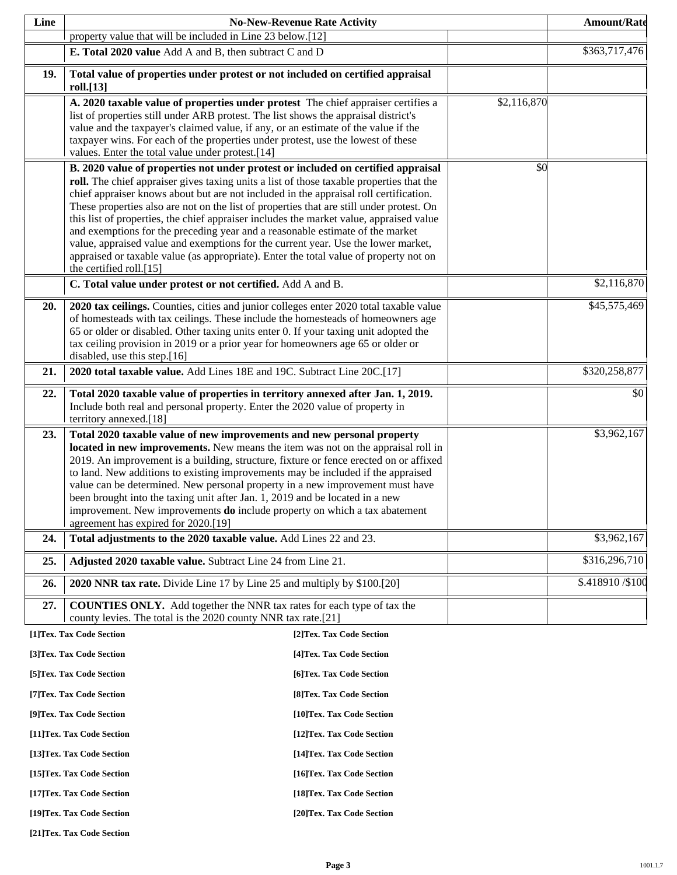| Line |                                                                                                                                                                         | <b>No-New-Revenue Rate Activity</b> |             | <b>Amount/Rate</b> |
|------|-------------------------------------------------------------------------------------------------------------------------------------------------------------------------|-------------------------------------|-------------|--------------------|
|      | property value that will be included in Line 23 below.[12]                                                                                                              |                                     |             |                    |
|      | E. Total 2020 value Add A and B, then subtract C and D                                                                                                                  |                                     |             | \$363,717,476      |
| 19.  | Total value of properties under protest or not included on certified appraisal                                                                                          |                                     |             |                    |
|      | roll.[13]<br>A. 2020 taxable value of properties under protest The chief appraiser certifies a                                                                          |                                     | \$2,116,870 |                    |
|      | list of properties still under ARB protest. The list shows the appraisal district's                                                                                     |                                     |             |                    |
|      | value and the taxpayer's claimed value, if any, or an estimate of the value if the                                                                                      |                                     |             |                    |
|      | taxpayer wins. For each of the properties under protest, use the lowest of these                                                                                        |                                     |             |                    |
|      | values. Enter the total value under protest.[14]<br>B. 2020 value of properties not under protest or included on certified appraisal                                    |                                     | \$0         |                    |
|      | roll. The chief appraiser gives taxing units a list of those taxable properties that the                                                                                |                                     |             |                    |
|      | chief appraiser knows about but are not included in the appraisal roll certification.                                                                                   |                                     |             |                    |
|      | These properties also are not on the list of properties that are still under protest. On                                                                                |                                     |             |                    |
|      | this list of properties, the chief appraiser includes the market value, appraised value                                                                                 |                                     |             |                    |
|      | and exemptions for the preceding year and a reasonable estimate of the market<br>value, appraised value and exemptions for the current year. Use the lower market,      |                                     |             |                    |
|      | appraised or taxable value (as appropriate). Enter the total value of property not on                                                                                   |                                     |             |                    |
|      | the certified roll.[15]                                                                                                                                                 |                                     |             |                    |
|      | C. Total value under protest or not certified. Add A and B.                                                                                                             |                                     |             | \$2,116,870        |
| 20.  | 2020 tax ceilings. Counties, cities and junior colleges enter 2020 total taxable value                                                                                  |                                     |             | \$45,575,469       |
|      | of homesteads with tax ceilings. These include the homesteads of homeowners age                                                                                         |                                     |             |                    |
|      | 65 or older or disabled. Other taxing units enter 0. If your taxing unit adopted the<br>tax ceiling provision in 2019 or a prior year for homeowners age 65 or older or |                                     |             |                    |
|      | disabled, use this step.[16]                                                                                                                                            |                                     |             |                    |
| 21.  | 2020 total taxable value. Add Lines 18E and 19C. Subtract Line 20C.[17]                                                                                                 |                                     |             | \$320,258,877      |
| 22.  | Total 2020 taxable value of properties in territory annexed after Jan. 1, 2019.                                                                                         |                                     |             | \$0                |
|      | Include both real and personal property. Enter the 2020 value of property in                                                                                            |                                     |             |                    |
| 23.  | territory annexed.[18]<br>Total 2020 taxable value of new improvements and new personal property                                                                        |                                     |             | \$3,962,167        |
|      | located in new improvements. New means the item was not on the appraisal roll in                                                                                        |                                     |             |                    |
|      | 2019. An improvement is a building, structure, fixture or fence erected on or affixed                                                                                   |                                     |             |                    |
|      | to land. New additions to existing improvements may be included if the appraised                                                                                        |                                     |             |                    |
|      | value can be determined. New personal property in a new improvement must have<br>been brought into the taxing unit after Jan. 1, 2019 and be located in a new           |                                     |             |                    |
|      | improvement. New improvements <b>do</b> include property on which a tax abatement                                                                                       |                                     |             |                    |
|      | agreement has expired for 2020.[19]                                                                                                                                     |                                     |             |                    |
| 24.  | Total adjustments to the 2020 taxable value. Add Lines 22 and 23.                                                                                                       |                                     |             | \$3,962,167        |
| 25.  | Adjusted 2020 taxable value. Subtract Line 24 from Line 21.                                                                                                             |                                     |             | \$316,296,710      |
| 26.  | 2020 NNR tax rate. Divide Line 17 by Line 25 and multiply by \$100.[20]                                                                                                 |                                     |             | \$.418910/\$100    |
| 27.  | <b>COUNTIES ONLY.</b> Add together the NNR tax rates for each type of tax the<br>county levies. The total is the 2020 county NNR tax rate.[21]                          |                                     |             |                    |
|      | [1]Tex. Tax Code Section                                                                                                                                                | [2] Tex. Tax Code Section           |             |                    |
|      | [3]Tex. Tax Code Section                                                                                                                                                | [4] Tex. Tax Code Section           |             |                    |
|      | [5] Tex. Tax Code Section                                                                                                                                               | [6]Tex. Tax Code Section            |             |                    |
|      | [7] Tex. Tax Code Section                                                                                                                                               | [8] Tex. Tax Code Section           |             |                    |
|      | [9]Tex. Tax Code Section                                                                                                                                                | [10]Tex. Tax Code Section           |             |                    |
|      | [11] Tex. Tax Code Section                                                                                                                                              | [12] Tex. Tax Code Section          |             |                    |
|      | [13] Tex. Tax Code Section                                                                                                                                              | [14] Tex. Tax Code Section          |             |                    |
|      | [15] Tex. Tax Code Section                                                                                                                                              | [16] Tex. Tax Code Section          |             |                    |
|      | [17] Tex. Tax Code Section                                                                                                                                              | [18] Tex. Tax Code Section          |             |                    |
|      | [19]Tex. Tax Code Section                                                                                                                                               | [20]Tex. Tax Code Section           |             |                    |

**[21]Tex. Tax Code Section**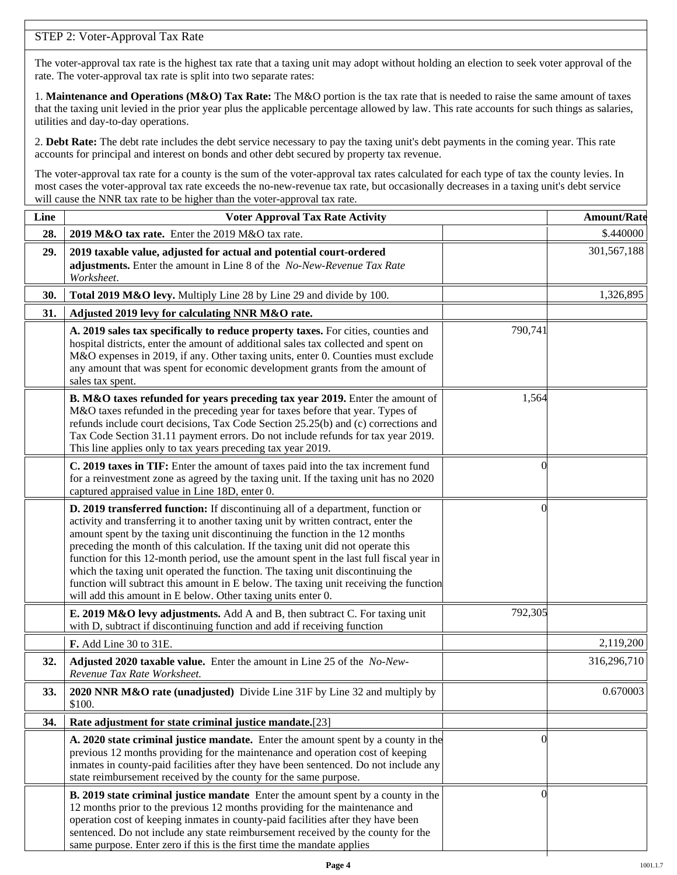## STEP 2: Voter-Approval Tax Rate

The voter-approval tax rate is the highest tax rate that a taxing unit may adopt without holding an election to seek voter approval of the rate. The voter-approval tax rate is split into two separate rates:

1. **Maintenance and Operations (M&O) Tax Rate:** The M&O portion is the tax rate that is needed to raise the same amount of taxes that the taxing unit levied in the prior year plus the applicable percentage allowed by law. This rate accounts for such things as salaries, utilities and day-to-day operations.

2. **Debt Rate:** The debt rate includes the debt service necessary to pay the taxing unit's debt payments in the coming year. This rate accounts for principal and interest on bonds and other debt secured by property tax revenue.

The voter-approval tax rate for a county is the sum of the voter-approval tax rates calculated for each type of tax the county levies. In most cases the voter-approval tax rate exceeds the no-new-revenue tax rate, but occasionally decreases in a taxing unit's debt service will cause the NNR tax rate to be higher than the voter-approval tax rate.

| Line | <b>Voter Approval Tax Rate Activity</b>                                                                                                                                                                                                                                                                                                                                                                                                                                                                                                                                                                                                                                        |          | <b>Amount/Rate</b> |
|------|--------------------------------------------------------------------------------------------------------------------------------------------------------------------------------------------------------------------------------------------------------------------------------------------------------------------------------------------------------------------------------------------------------------------------------------------------------------------------------------------------------------------------------------------------------------------------------------------------------------------------------------------------------------------------------|----------|--------------------|
| 28.  | 2019 M&O tax rate. Enter the 2019 M&O tax rate.                                                                                                                                                                                                                                                                                                                                                                                                                                                                                                                                                                                                                                |          | \$.440000          |
| 29.  | 2019 taxable value, adjusted for actual and potential court-ordered<br>adjustments. Enter the amount in Line 8 of the No-New-Revenue Tax Rate<br>Worksheet.                                                                                                                                                                                                                                                                                                                                                                                                                                                                                                                    |          | 301,567,188        |
| 30.  | Total 2019 M&O levy. Multiply Line 28 by Line 29 and divide by 100.                                                                                                                                                                                                                                                                                                                                                                                                                                                                                                                                                                                                            |          | 1,326,895          |
| 31.  | Adjusted 2019 levy for calculating NNR M&O rate.                                                                                                                                                                                                                                                                                                                                                                                                                                                                                                                                                                                                                               |          |                    |
|      | A. 2019 sales tax specifically to reduce property taxes. For cities, counties and<br>hospital districts, enter the amount of additional sales tax collected and spent on<br>M&O expenses in 2019, if any. Other taxing units, enter 0. Counties must exclude<br>any amount that was spent for economic development grants from the amount of<br>sales tax spent.                                                                                                                                                                                                                                                                                                               | 790,741  |                    |
|      | B. M&O taxes refunded for years preceding tax year 2019. Enter the amount of<br>M&O taxes refunded in the preceding year for taxes before that year. Types of<br>refunds include court decisions, Tax Code Section 25.25(b) and (c) corrections and<br>Tax Code Section 31.11 payment errors. Do not include refunds for tax year 2019.<br>This line applies only to tax years preceding tax year 2019.                                                                                                                                                                                                                                                                        | 1,564    |                    |
|      | C. 2019 taxes in TIF: Enter the amount of taxes paid into the tax increment fund<br>for a reinvestment zone as agreed by the taxing unit. If the taxing unit has no 2020<br>captured appraised value in Line 18D, enter 0.                                                                                                                                                                                                                                                                                                                                                                                                                                                     | $\theta$ |                    |
|      | D. 2019 transferred function: If discontinuing all of a department, function or<br>activity and transferring it to another taxing unit by written contract, enter the<br>amount spent by the taxing unit discontinuing the function in the 12 months<br>preceding the month of this calculation. If the taxing unit did not operate this<br>function for this 12-month period, use the amount spent in the last full fiscal year in<br>which the taxing unit operated the function. The taxing unit discontinuing the<br>function will subtract this amount in E below. The taxing unit receiving the function<br>will add this amount in E below. Other taxing units enter 0. | $\left($ |                    |
|      | E. 2019 M&O levy adjustments. Add A and B, then subtract C. For taxing unit<br>with D, subtract if discontinuing function and add if receiving function                                                                                                                                                                                                                                                                                                                                                                                                                                                                                                                        | 792,305  |                    |
|      | F. Add Line 30 to 31E.                                                                                                                                                                                                                                                                                                                                                                                                                                                                                                                                                                                                                                                         |          | 2,119,200          |
| 32.  | Adjusted 2020 taxable value. Enter the amount in Line 25 of the No-New-<br>Revenue Tax Rate Worksheet.                                                                                                                                                                                                                                                                                                                                                                                                                                                                                                                                                                         |          | 316,296,710        |
| 33.  | 2020 NNR M&O rate (unadjusted) Divide Line 31F by Line 32 and multiply by<br>\$100.                                                                                                                                                                                                                                                                                                                                                                                                                                                                                                                                                                                            |          | 0.670003           |
| 34.  | Rate adjustment for state criminal justice mandate.[23]                                                                                                                                                                                                                                                                                                                                                                                                                                                                                                                                                                                                                        |          |                    |
|      | A. 2020 state criminal justice mandate. Enter the amount spent by a county in the<br>previous 12 months providing for the maintenance and operation cost of keeping<br>inmates in county-paid facilities after they have been sentenced. Do not include any<br>state reimbursement received by the county for the same purpose.                                                                                                                                                                                                                                                                                                                                                | $\theta$ |                    |
|      | B. 2019 state criminal justice mandate Enter the amount spent by a county in the<br>12 months prior to the previous 12 months providing for the maintenance and<br>operation cost of keeping inmates in county-paid facilities after they have been<br>sentenced. Do not include any state reimbursement received by the county for the<br>same purpose. Enter zero if this is the first time the mandate applies                                                                                                                                                                                                                                                              | $\Omega$ |                    |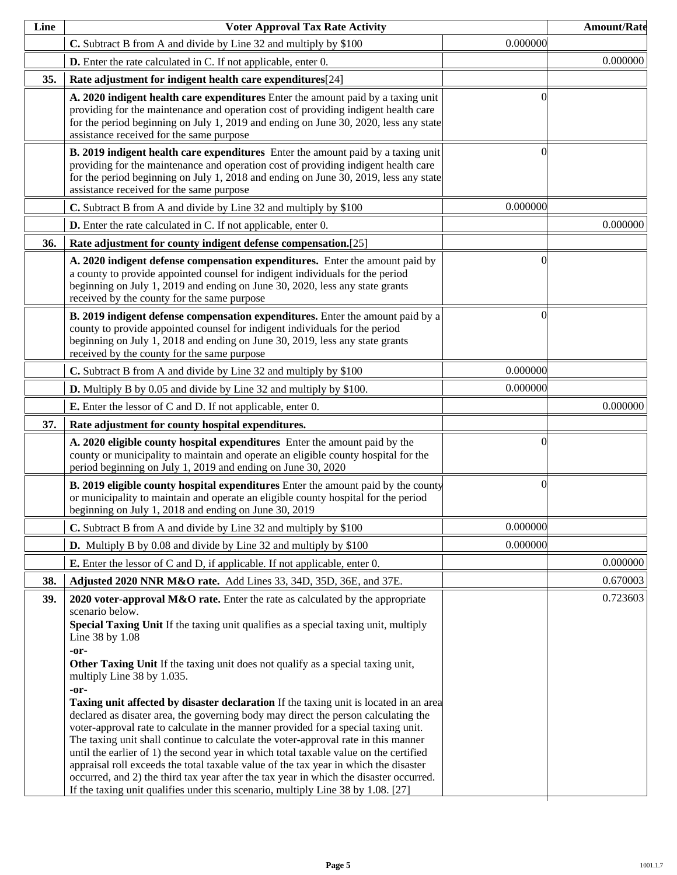| Line | <b>Voter Approval Tax Rate Activity</b>                                                                                                                                                                                                                                                                                                                                                                                                                                                                                                                                                                                                                                                                                                                                                                                                                                                                                                                                                                                                                                      |          | <b>Amount/Rate</b> |
|------|------------------------------------------------------------------------------------------------------------------------------------------------------------------------------------------------------------------------------------------------------------------------------------------------------------------------------------------------------------------------------------------------------------------------------------------------------------------------------------------------------------------------------------------------------------------------------------------------------------------------------------------------------------------------------------------------------------------------------------------------------------------------------------------------------------------------------------------------------------------------------------------------------------------------------------------------------------------------------------------------------------------------------------------------------------------------------|----------|--------------------|
|      | C. Subtract B from A and divide by Line 32 and multiply by \$100                                                                                                                                                                                                                                                                                                                                                                                                                                                                                                                                                                                                                                                                                                                                                                                                                                                                                                                                                                                                             | 0.000000 |                    |
|      | <b>D.</b> Enter the rate calculated in C. If not applicable, enter 0.                                                                                                                                                                                                                                                                                                                                                                                                                                                                                                                                                                                                                                                                                                                                                                                                                                                                                                                                                                                                        |          | 0.000000           |
| 35.  | Rate adjustment for indigent health care expenditures[24]                                                                                                                                                                                                                                                                                                                                                                                                                                                                                                                                                                                                                                                                                                                                                                                                                                                                                                                                                                                                                    |          |                    |
|      | A. 2020 indigent health care expenditures Enter the amount paid by a taxing unit<br>providing for the maintenance and operation cost of providing indigent health care<br>for the period beginning on July 1, 2019 and ending on June 30, 2020, less any state<br>assistance received for the same purpose                                                                                                                                                                                                                                                                                                                                                                                                                                                                                                                                                                                                                                                                                                                                                                   | ſ        |                    |
|      | B. 2019 indigent health care expenditures Enter the amount paid by a taxing unit<br>providing for the maintenance and operation cost of providing indigent health care<br>for the period beginning on July 1, 2018 and ending on June 30, 2019, less any state<br>assistance received for the same purpose                                                                                                                                                                                                                                                                                                                                                                                                                                                                                                                                                                                                                                                                                                                                                                   | 0        |                    |
|      | C. Subtract B from A and divide by Line 32 and multiply by \$100                                                                                                                                                                                                                                                                                                                                                                                                                                                                                                                                                                                                                                                                                                                                                                                                                                                                                                                                                                                                             | 0.000000 |                    |
|      | <b>D.</b> Enter the rate calculated in C. If not applicable, enter 0.                                                                                                                                                                                                                                                                                                                                                                                                                                                                                                                                                                                                                                                                                                                                                                                                                                                                                                                                                                                                        |          | 0.000000           |
| 36.  | Rate adjustment for county indigent defense compensation.[25]                                                                                                                                                                                                                                                                                                                                                                                                                                                                                                                                                                                                                                                                                                                                                                                                                                                                                                                                                                                                                |          |                    |
|      | A. 2020 indigent defense compensation expenditures. Enter the amount paid by<br>a county to provide appointed counsel for indigent individuals for the period<br>beginning on July 1, 2019 and ending on June 30, 2020, less any state grants<br>received by the county for the same purpose                                                                                                                                                                                                                                                                                                                                                                                                                                                                                                                                                                                                                                                                                                                                                                                 | 0        |                    |
|      | B. 2019 indigent defense compensation expenditures. Enter the amount paid by a<br>county to provide appointed counsel for indigent individuals for the period<br>beginning on July 1, 2018 and ending on June 30, 2019, less any state grants<br>received by the county for the same purpose                                                                                                                                                                                                                                                                                                                                                                                                                                                                                                                                                                                                                                                                                                                                                                                 | 0        |                    |
|      | C. Subtract B from A and divide by Line 32 and multiply by \$100                                                                                                                                                                                                                                                                                                                                                                                                                                                                                                                                                                                                                                                                                                                                                                                                                                                                                                                                                                                                             | 0.000000 |                    |
|      | <b>D.</b> Multiply B by 0.05 and divide by Line 32 and multiply by \$100.                                                                                                                                                                                                                                                                                                                                                                                                                                                                                                                                                                                                                                                                                                                                                                                                                                                                                                                                                                                                    | 0.000000 |                    |
|      | <b>E.</b> Enter the lessor of C and D. If not applicable, enter 0.                                                                                                                                                                                                                                                                                                                                                                                                                                                                                                                                                                                                                                                                                                                                                                                                                                                                                                                                                                                                           |          | 0.000000           |
| 37.  | Rate adjustment for county hospital expenditures.                                                                                                                                                                                                                                                                                                                                                                                                                                                                                                                                                                                                                                                                                                                                                                                                                                                                                                                                                                                                                            |          |                    |
|      | A. 2020 eligible county hospital expenditures Enter the amount paid by the<br>county or municipality to maintain and operate an eligible county hospital for the<br>period beginning on July 1, 2019 and ending on June 30, 2020                                                                                                                                                                                                                                                                                                                                                                                                                                                                                                                                                                                                                                                                                                                                                                                                                                             | 0        |                    |
|      | <b>B. 2019 eligible county hospital expenditures</b> Enter the amount paid by the county<br>or municipality to maintain and operate an eligible county hospital for the period<br>beginning on July 1, 2018 and ending on June 30, 2019                                                                                                                                                                                                                                                                                                                                                                                                                                                                                                                                                                                                                                                                                                                                                                                                                                      | $\Omega$ |                    |
|      | C. Subtract B from A and divide by Line 32 and multiply by \$100                                                                                                                                                                                                                                                                                                                                                                                                                                                                                                                                                                                                                                                                                                                                                                                                                                                                                                                                                                                                             | 0.000000 |                    |
|      | <b>D.</b> Multiply B by 0.08 and divide by Line 32 and multiply by \$100                                                                                                                                                                                                                                                                                                                                                                                                                                                                                                                                                                                                                                                                                                                                                                                                                                                                                                                                                                                                     | 0.000000 |                    |
|      | <b>E.</b> Enter the lessor of C and D, if applicable. If not applicable, enter 0.                                                                                                                                                                                                                                                                                                                                                                                                                                                                                                                                                                                                                                                                                                                                                                                                                                                                                                                                                                                            |          | 0.000000           |
| 38.  | Adjusted 2020 NNR M&O rate. Add Lines 33, 34D, 35D, 36E, and 37E.                                                                                                                                                                                                                                                                                                                                                                                                                                                                                                                                                                                                                                                                                                                                                                                                                                                                                                                                                                                                            |          | 0.670003           |
| 39.  | 2020 voter-approval M&O rate. Enter the rate as calculated by the appropriate<br>scenario below.<br>Special Taxing Unit If the taxing unit qualifies as a special taxing unit, multiply<br>Line 38 by 1.08<br>-or-<br>Other Taxing Unit If the taxing unit does not qualify as a special taxing unit,<br>multiply Line 38 by 1.035.<br>-or-<br><b>Taxing unit affected by disaster declaration</b> If the taxing unit is located in an area<br>declared as disater area, the governing body may direct the person calculating the<br>voter-approval rate to calculate in the manner provided for a special taxing unit.<br>The taxing unit shall continue to calculate the voter-approval rate in this manner<br>until the earlier of 1) the second year in which total taxable value on the certified<br>appraisal roll exceeds the total taxable value of the tax year in which the disaster<br>occurred, and 2) the third tax year after the tax year in which the disaster occurred.<br>If the taxing unit qualifies under this scenario, multiply Line 38 by 1.08. [27] |          | 0.723603           |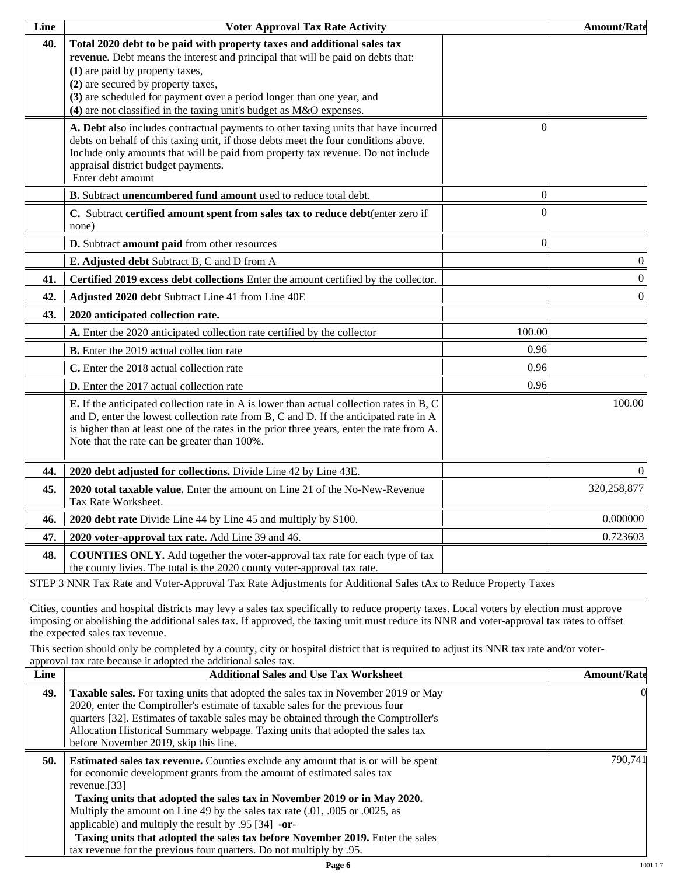| Line | <b>Voter Approval Tax Rate Activity</b>                                                                                                                                                                                                                                                                                                                                             |          | <b>Amount/Rate</b> |  |
|------|-------------------------------------------------------------------------------------------------------------------------------------------------------------------------------------------------------------------------------------------------------------------------------------------------------------------------------------------------------------------------------------|----------|--------------------|--|
| 40.  | Total 2020 debt to be paid with property taxes and additional sales tax<br>revenue. Debt means the interest and principal that will be paid on debts that:<br>(1) are paid by property taxes,<br>(2) are secured by property taxes,<br>(3) are scheduled for payment over a period longer than one year, and<br>(4) are not classified in the taxing unit's budget as M&O expenses. |          |                    |  |
|      | A. Debt also includes contractual payments to other taxing units that have incurred<br>debts on behalf of this taxing unit, if those debts meet the four conditions above.<br>Include only amounts that will be paid from property tax revenue. Do not include<br>appraisal district budget payments.<br>Enter debt amount                                                          | 0        |                    |  |
|      | B. Subtract unencumbered fund amount used to reduce total debt.                                                                                                                                                                                                                                                                                                                     | $\Omega$ |                    |  |
|      | C. Subtract certified amount spent from sales tax to reduce debt(enter zero if<br>none)                                                                                                                                                                                                                                                                                             |          |                    |  |
|      | D. Subtract amount paid from other resources                                                                                                                                                                                                                                                                                                                                        | $\Omega$ |                    |  |
|      | E. Adjusted debt Subtract B, C and D from A                                                                                                                                                                                                                                                                                                                                         |          | $\boldsymbol{0}$   |  |
| 41.  | Certified 2019 excess debt collections Enter the amount certified by the collector.                                                                                                                                                                                                                                                                                                 |          | $\boldsymbol{0}$   |  |
| 42.  | Adjusted 2020 debt Subtract Line 41 from Line 40E                                                                                                                                                                                                                                                                                                                                   |          | $\boldsymbol{0}$   |  |
| 43.  | 2020 anticipated collection rate.                                                                                                                                                                                                                                                                                                                                                   |          |                    |  |
|      | A. Enter the 2020 anticipated collection rate certified by the collector                                                                                                                                                                                                                                                                                                            | 100.00   |                    |  |
|      | <b>B.</b> Enter the 2019 actual collection rate                                                                                                                                                                                                                                                                                                                                     | 0.96     |                    |  |
|      | C. Enter the 2018 actual collection rate                                                                                                                                                                                                                                                                                                                                            | 0.96     |                    |  |
|      | D. Enter the 2017 actual collection rate                                                                                                                                                                                                                                                                                                                                            | 0.96     |                    |  |
|      | <b>E.</b> If the anticipated collection rate in A is lower than actual collection rates in B, C<br>and D, enter the lowest collection rate from B, C and D. If the anticipated rate in A<br>is higher than at least one of the rates in the prior three years, enter the rate from A.<br>Note that the rate can be greater than 100%.                                               |          | 100.00             |  |
| 44.  | 2020 debt adjusted for collections. Divide Line 42 by Line 43E.                                                                                                                                                                                                                                                                                                                     |          | $\Omega$           |  |
| 45.  | 2020 total taxable value. Enter the amount on Line 21 of the No-New-Revenue<br>Tax Rate Worksheet.                                                                                                                                                                                                                                                                                  |          | 320,258,877        |  |
| 46.  | 2020 debt rate Divide Line 44 by Line 45 and multiply by \$100.                                                                                                                                                                                                                                                                                                                     |          | 0.000000           |  |
| 47.  | 2020 voter-approval tax rate. Add Line 39 and 46.                                                                                                                                                                                                                                                                                                                                   |          | 0.723603           |  |
| 48.  | <b>COUNTIES ONLY.</b> Add together the voter-approval tax rate for each type of tax<br>the county livies. The total is the 2020 county voter-approval tax rate.                                                                                                                                                                                                                     |          |                    |  |
|      | STEP 3 NNR Tax Rate and Voter-Approval Tax Rate Adjustments for Additional Sales tAx to Reduce Property Taxes                                                                                                                                                                                                                                                                       |          |                    |  |

Cities, counties and hospital districts may levy a sales tax specifically to reduce property taxes. Local voters by election must approve imposing or abolishing the additional sales tax. If approved, the taxing unit must reduce its NNR and voter-approval tax rates to offset the expected sales tax revenue.

This section should only be completed by a county, city or hospital district that is required to adjust its NNR tax rate and/or voterapproval tax rate because it adopted the additional sales tax.

| <b>Additional Sales and Use Tax Worksheet</b>                                                                                                                                                                                                                                                                                                                                                                                                                                                | <b>Amount/Rate</b>                                                  |
|----------------------------------------------------------------------------------------------------------------------------------------------------------------------------------------------------------------------------------------------------------------------------------------------------------------------------------------------------------------------------------------------------------------------------------------------------------------------------------------------|---------------------------------------------------------------------|
| Taxable sales. For taxing units that adopted the sales tax in November 2019 or May<br>2020, enter the Comptroller's estimate of taxable sales for the previous four<br>quarters [32]. Estimates of taxable sales may be obtained through the Comptroller's<br>Allocation Historical Summary webpage. Taxing units that adopted the sales tax<br>before November 2019, skip this line.                                                                                                        | $\Omega$                                                            |
| <b>Estimated sales tax revenue.</b> Counties exclude any amount that is or will be spent<br>for economic development grants from the amount of estimated sales tax<br>revenue. $[33]$<br>Taxing units that adopted the sales tax in November 2019 or in May 2020.<br>Multiply the amount on Line 49 by the sales tax rate (.01, .005 or .0025, as<br>applicable) and multiply the result by $.95$ [34] -or-<br>Taxing units that adopted the sales tax before November 2019. Enter the sales | 790.741                                                             |
|                                                                                                                                                                                                                                                                                                                                                                                                                                                                                              | tax revenue for the previous four quarters. Do not multiply by .95. |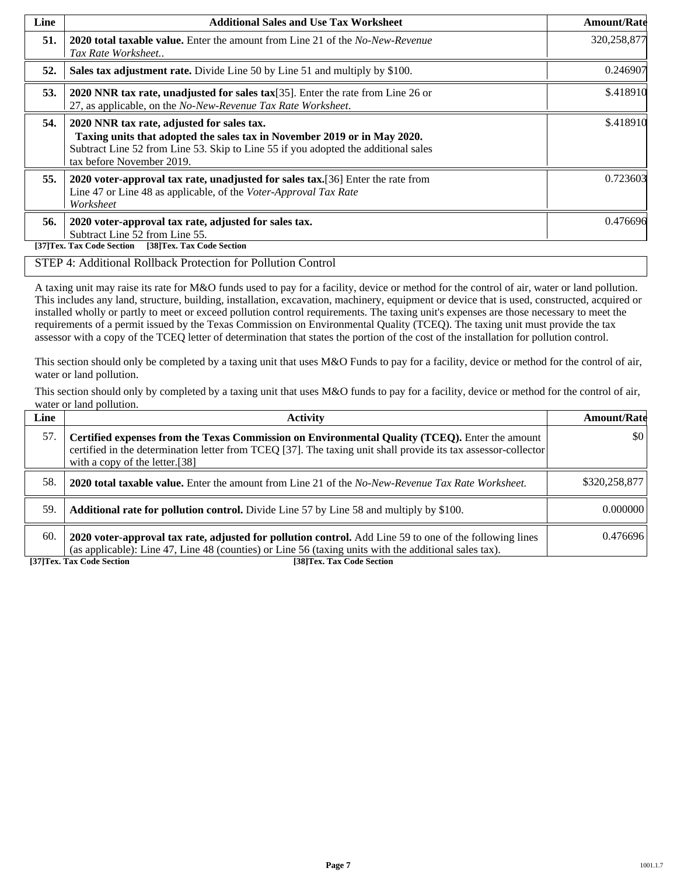| Line | <b>Additional Sales and Use Tax Worksheet</b>                                                                                                                                                                                             | <b>Amount/Rate</b> |
|------|-------------------------------------------------------------------------------------------------------------------------------------------------------------------------------------------------------------------------------------------|--------------------|
| 51.  | <b>2020 total taxable value.</b> Enter the amount from Line 21 of the <i>No-New-Revenue</i><br>Tax Rate Worksheet                                                                                                                         | 320,258,877        |
| 52.  | Sales tax adjustment rate. Divide Line 50 by Line 51 and multiply by \$100.                                                                                                                                                               | 0.246907           |
| 53.  | 2020 NNR tax rate, unadjusted for sales tax[35]. Enter the rate from Line 26 or<br>27, as applicable, on the No-New-Revenue Tax Rate Worksheet.                                                                                           | \$.418910          |
| 54.  | 2020 NNR tax rate, adjusted for sales tax.<br>Taxing units that adopted the sales tax in November 2019 or in May 2020.<br>Subtract Line 52 from Line 53. Skip to Line 55 if you adopted the additional sales<br>tax before November 2019. | \$.418910          |
| 55.  | 2020 voter-approval tax rate, unadjusted for sales tax. [36] Enter the rate from<br>Line 47 or Line 48 as applicable, of the Voter-Approval Tax Rate<br>Worksheet                                                                         | 0.723603           |
| 56.  | 2020 voter-approval tax rate, adjusted for sales tax.<br>Subtract Line 52 from Line 55.<br>[38]Tex. Tax Code Section<br>[37]Tex. Tax Code Section                                                                                         | 0.476696           |

#### STEP 4: Additional Rollback Protection for Pollution Control

A taxing unit may raise its rate for M&O funds used to pay for a facility, device or method for the control of air, water or land pollution. This includes any land, structure, building, installation, excavation, machinery, equipment or device that is used, constructed, acquired or installed wholly or partly to meet or exceed pollution control requirements. The taxing unit's expenses are those necessary to meet the requirements of a permit issued by the Texas Commission on Environmental Quality (TCEQ). The taxing unit must provide the tax assessor with a copy of the TCEQ letter of determination that states the portion of the cost of the installation for pollution control.

This section should only be completed by a taxing unit that uses M&O Funds to pay for a facility, device or method for the control of air, water or land pollution.

This section should only by completed by a taxing unit that uses M&O funds to pay for a facility, device or method for the control of air, water or land pollution.

| Line | <b>Activity</b>                                                                                                                                                                                                                                    | <b>Amount/Rate</b>      |
|------|----------------------------------------------------------------------------------------------------------------------------------------------------------------------------------------------------------------------------------------------------|-------------------------|
| 57.  | Certified expenses from the Texas Commission on Environmental Quality (TCEQ). Enter the amount<br>certified in the determination letter from TCEQ [37]. The taxing unit shall provide its tax assessor-collector<br>with a copy of the letter.[38] | $\vert \$\text{0}\vert$ |
| 58.  | <b>2020 total taxable value.</b> Enter the amount from Line 21 of the No-New-Revenue Tax Rate Worksheet.                                                                                                                                           | \$320,258,877           |
| 59.  | <b>Additional rate for pollution control.</b> Divide Line 57 by Line 58 and multiply by \$100.                                                                                                                                                     | 0.000000                |
| 60.  | 2020 voter-approval tax rate, adjusted for pollution control. Add Line 59 to one of the following lines<br>(as applicable): Line 47, Line 48 (counties) or Line 56 (taxing units with the additional sales tax).                                   | 0.476696                |

**[37]Tex. Tax Code Section [38]Tex. Tax Code Section**